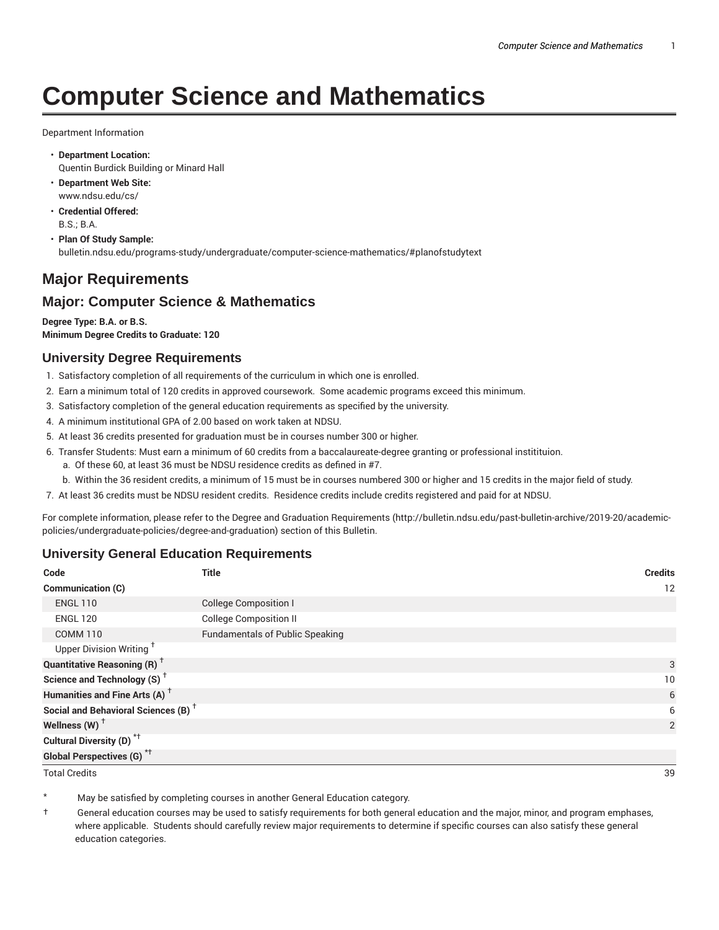# **Computer Science and Mathematics**

Department Information

- **Department Location:** Quentin Burdick Building or Minard Hall
- **Department Web Site:** www.ndsu.edu/cs/
- **Credential Offered:** B.S.; B.A.
- **Plan Of Study Sample:** bulletin.ndsu.edu/programs-study/undergraduate/computer-science-mathematics/#planofstudytext

# **Major Requirements**

# **Major: Computer Science & Mathematics**

**Degree Type: B.A. or B.S. Minimum Degree Credits to Graduate: 120**

## **University Degree Requirements**

- 1. Satisfactory completion of all requirements of the curriculum in which one is enrolled.
- 2. Earn a minimum total of 120 credits in approved coursework. Some academic programs exceed this minimum.
- 3. Satisfactory completion of the general education requirements as specified by the university.
- 4. A minimum institutional GPA of 2.00 based on work taken at NDSU.
- 5. At least 36 credits presented for graduation must be in courses number 300 or higher.
- 6. Transfer Students: Must earn a minimum of 60 credits from a baccalaureate-degree granting or professional institituion.
	- a. Of these 60, at least 36 must be NDSU residence credits as defined in #7.
	- b. Within the 36 resident credits, a minimum of 15 must be in courses numbered 300 or higher and 15 credits in the major field of study.
- 7. At least 36 credits must be NDSU resident credits. Residence credits include credits registered and paid for at NDSU.

For complete information, please refer to the Degree and Graduation Requirements (http://bulletin.ndsu.edu/past-bulletin-archive/2019-20/academicpolicies/undergraduate-policies/degree-and-graduation) section of this Bulletin.

#### **University General Education Requirements**

| Code                                            | <b>Title</b>                           | <b>Credits</b> |
|-------------------------------------------------|----------------------------------------|----------------|
| <b>Communication (C)</b>                        |                                        | 12             |
| <b>ENGL 110</b>                                 | <b>College Composition I</b>           |                |
| <b>ENGL 120</b>                                 | <b>College Composition II</b>          |                |
| <b>COMM 110</b>                                 | <b>Fundamentals of Public Speaking</b> |                |
| Upper Division Writing <sup>+</sup>             |                                        |                |
| <b>Quantitative Reasoning (R)</b> <sup>†</sup>  |                                        | 3              |
| Science and Technology (S) <sup>+</sup>         |                                        | 10             |
| Humanities and Fine Arts (A) <sup>+</sup>       |                                        | 6              |
| Social and Behavioral Sciences (B) <sup>+</sup> |                                        | 6              |
| Wellness $(W)$ <sup>+</sup>                     |                                        | 2              |
| Cultural Diversity (D) <sup>*†</sup>            |                                        |                |
| <b>Global Perspectives (G)</b> * <sup>+</sup>   |                                        |                |

Total Credits 39

May be satisfied by completing courses in another General Education category.

† General education courses may be used to satisfy requirements for both general education and the major, minor, and program emphases, where applicable. Students should carefully review major requirements to determine if specific courses can also satisfy these general education categories.